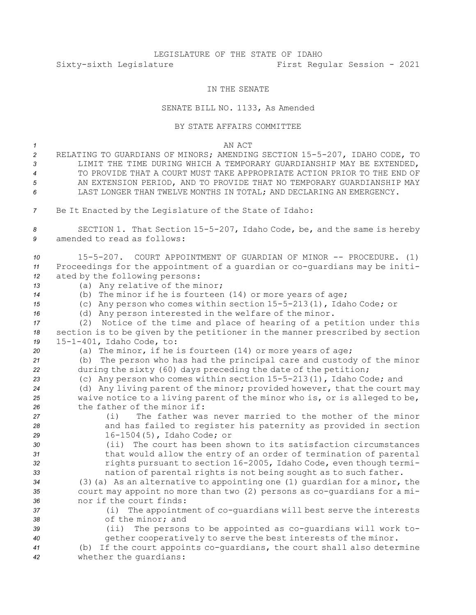## LEGISLATURE OF THE STATE OF IDAHO Sixty-sixth Legislature First Regular Session - 2021

## IN THE SENATE

## SENATE BILL NO. 1133, As Amended

## BY STATE AFFAIRS COMMITTEE

*1* AN ACT

- *<sup>2</sup>* RELATING TO GUARDIANS OF MINORS; AMENDING SECTION 15-5-207, IDAHO CODE, TO *3* LIMIT THE TIME DURING WHICH A TEMPORARY GUARDIANSHIP MAY BE EXTENDED, *4* TO PROVIDE THAT A COURT MUST TAKE APPROPRIATE ACTION PRIOR TO THE END OF *5* AN EXTENSION PERIOD, AND TO PROVIDE THAT NO TEMPORARY GUARDIANSHIP MAY *6* LAST LONGER THAN TWELVE MONTHS IN TOTAL; AND DECLARING AN EMERGENCY.
- *<sup>7</sup>* Be It Enacted by the Legislature of the State of Idaho:

*<sup>8</sup>* SECTION 1. That Section 15-5-207, Idaho Code, be, and the same is hereby *9* amended to read as follows:

| 10 | 15-5-207. COURT APPOINTMENT OF GUARDIAN OF MINOR -- PROCEDURE. (1)           |
|----|------------------------------------------------------------------------------|
| 11 | Proceedings for the appointment of a quardian or co-quardians may be initi-  |
| 12 | ated by the following persons:                                               |
| 13 | (a) Any relative of the minor;                                               |
| 14 | (b) The minor if he is fourteen $(14)$ or more years of age;                 |
| 15 | (c) Any person who comes within section 15-5-213(1), Idaho Code; or          |
| 16 | (d) Any person interested in the welfare of the minor.                       |
| 17 | Notice of the time and place of hearing of a petition under this<br>(2)      |
| 18 | section is to be given by the petitioner in the manner prescribed by section |
| 19 | 15-1-401, Idaho Code, to:                                                    |
| 20 | (a) The minor, if he is fourteen $(14)$ or more years of age;                |
| 21 | The person who has had the principal care and custody of the minor<br>(b)    |
| 22 | during the sixty (60) days preceding the date of the petition;               |
| 23 | (c) Any person who comes within section 15-5-213(1), Idaho Code; and         |
| 24 | (d) Any living parent of the minor; provided however, that the court may     |
| 25 | waive notice to a living parent of the minor who is, or is alleged to be,    |
| 26 | the father of the minor if:                                                  |
| 27 | The father was never married to the mother of the minor<br>(i)               |
| 28 | and has failed to register his paternity as provided in section              |
| 29 | 16-1504(5), Idaho Code; or                                                   |
| 30 | (ii) The court has been shown to its satisfaction circumstances              |
| 31 | that would allow the entry of an order of termination of parental            |
| 32 | rights pursuant to section 16-2005, Idaho Code, even though termi-           |
| 33 | nation of parental rights is not being sought as to such father.             |
| 34 | (3) (a) As an alternative to appointing one (1) quardian for a minor, the    |
| 35 | court may appoint no more than two (2) persons as co-quardians for a mi-     |
| 36 | nor if the court finds:                                                      |
| 37 | (i) The appointment of co-quardians will best serve the interests            |
| 38 | of the minor; and                                                            |
| 39 | The persons to be appointed as co-quardians will work to-<br>(i)             |
| 40 | gether cooperatively to serve the best interests of the minor.               |
| 41 | (b) If the court appoints co-quardians, the court shall also determine       |
| 42 | whether the quardians:                                                       |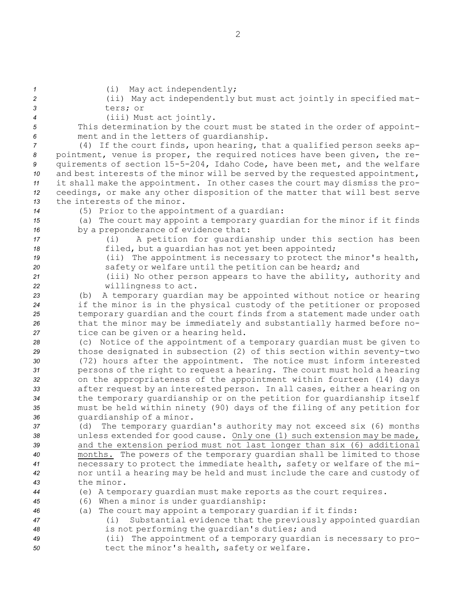(i) May act independently; (ii) May act independently but must act jointly in specified mat-*3* ters; or (iii) Must act jointly. This determination by the court must be stated in the order of appoint- ment and in the letters of guardianship. (4) If the court finds, upon hearing, that <sup>a</sup> qualified person seeks ap- pointment, venue is proper, the required notices have been given, the re- quirements of section 15-5-204, Idaho Code, have been met, and the welfare and best interests of the minor will be served by the requested appointment, it shall make the appointment. In other cases the court may dismiss the pro- ceedings, or make any other disposition of the matter that will best serve the interests of the minor. (5) Prior to the appointment of <sup>a</sup> guardian: (a) The court may appoint <sup>a</sup> temporary guardian for the minor if it finds by <sup>a</sup> preponderance of evidence that: (i) <sup>A</sup> petition for guardianship under this section has been filed, but <sup>a</sup> guardian has not yet been appointed; (ii) The appointment is necessary to protect the minor's health, safety or welfare until the petition can be heard; and (iii) No other person appears to have the ability, authority and willingness to act. (b) <sup>A</sup> temporary guardian may be appointed without notice or hearing if the minor is in the physical custody of the petitioner or proposed temporary guardian and the court finds from <sup>a</sup> statement made under oath that the minor may be immediately and substantially harmed before no- tice can be given or <sup>a</sup> hearing held. (c) Notice of the appointment of <sup>a</sup> temporary guardian must be given to those designated in subsection (2) of this section within seventy-two (72) hours after the appointment. The notice must inform interested persons of the right to request <sup>a</sup> hearing. The court must hold <sup>a</sup> hearing on the appropriateness of the appointment within fourteen (14) days after request by an interested person. In all cases, either <sup>a</sup> hearing on the temporary guardianship or on the petition for guardianship itself must be held within ninety (90) days of the filing of any petition for guardianship of <sup>a</sup> minor. (d) The temporary guardian's authority may not exceed six (6) months unless extended for good cause. Only one (1) such extension may be made, and the extension period must not last longer than six (6) additional months. The powers of the temporary guardian shall be limited to those necessary to protect the immediate health, safety or welfare of the mi- nor until <sup>a</sup> hearing may be held and must include the care and custody of the minor. (e) <sup>A</sup> temporary guardian must make reports as the court requires. (6) When <sup>a</sup> minor is under guardianship: (a) The court may appoint <sup>a</sup> temporary guardian if it finds: (i) Substantial evidence that the previously appointed guardian is not performing the guardian's duties; and (ii) The appointment of <sup>a</sup> temporary guardian is necessary to pro-tect the minor's health, safety or welfare.